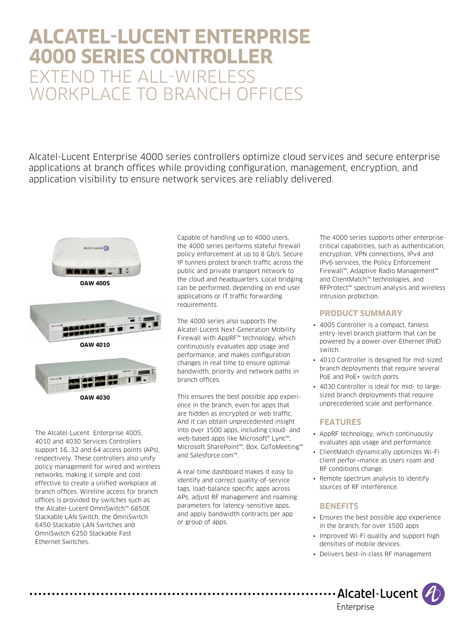# **ALCATEL-LUCENT ENTERPRISE 4000 SERIES CONTROLLER** EXTEND THE ALL-WIRELESS WORKPLACE TO BRANCH OFFICES

Alcatel-Lucent Enterprise 4000 series controllers optimize cloud services and secure enterprise applications at branch offices while providing configuration, management, encryption, and application visibility to ensure network services are reliably delivered.





**OAW 4010**

The Alcatel-Lucent Enterprise 4005, 4010 and 4030 Services Controllers support 16, 32 and 64 access points (APs), respectively. These controllers also unify policy management for wired and wireless networks, making it simple and costeffective to create a unified workplace at branch offices. Wireline access for branch offices is provided by switches such as the Alcatel-Lucent OmniSwitch™ 6850E Stackable LAN Switch, the OmniSwitch 6450 Stackable LAN Switches and OmniSwitch 6250 Stackable Fast Ethernet Switches.

Capable of handling up to 4000 users, the 4000 series performs stateful firewall policy enforcement at up to 8 Gb/s. Secure IP tunnels protect branch traffic across the public and private transport network to the cloud and headquarters. Local bridging can be performed, depending on end-user applications or IT traffic forwarding requirements.

The 4000 series also supports the Alcatel-Lucent Next-Generation Mobility Firewall with AppRF™ technology, which continuously evaluates app usage and performance, and makes configuration changes in real time to ensure optimal bandwidth, priority and network paths in branch offices.

This ensures the best possible app experience in the branch, even for apps that are hidden as encrypted or web traffic. And it can obtain unprecedented insight into over 1500 apps, including cloud- and web-based apps like Microsoft® Lync™, Microsoft SharePoint™, Box, GoToMeeting™ and Salesforce.com™.

A real-time dashboard makes it easy to identify and correct quality-of-service tags, load-balance specific apps across APs, adjust RF management and roaming parameters for latency-sensitive apps, and apply bandwidth contracts per app or group of apps.

The 4000 series supports other enterprisecritical capabilities, such as authentication, encryption, VPN connections, IPv4 and IPv6 services, the Policy Enforcement Firewall™, Adaptive Radio Management™ and ClientMatch™ technologies, and RFProtect™ spectrum analysis and wireless intrusion protection.

### **PRODUCT SUMMARY**

- 4005 Controller is a compact, fanless entry-level branch platform that can be powered by a power-over-Ethernet (PoE) switch.
- 4010 Controller is designed for mid-sized branch deployments that require several PoE and PoE+ switch ports.
- 4030 Controller is ideal for mid- to largesized branch deployments that require unprecedented scale and performance.

## **FEATURES**

- AppRF technology, which continuously evaluates app usage and performance.
- ClientMatch dynamically optimizes Wi-Fi client perfor¬mance as users roam and RF conditions change.
- Remote spectrum analysis to identify sources of RF interference.

## **BENEFITS**

- Ensures the best possible app experience in the branch, for over 1500 apps
- Improved Wi-Fi quality and support high densities of mobile devices.
- Delivers best-in-class RF management

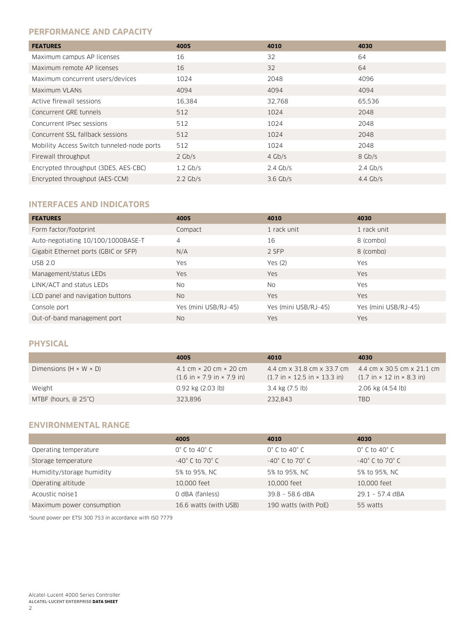#### **PERFORMANCE AND CAPACITY**

| <b>FEATURES</b>                            | 4005       | 4010       | 4030       |
|--------------------------------------------|------------|------------|------------|
| Maximum campus AP licenses                 | 16         | 32         | 64         |
| Maximum remote AP licenses                 | 16         | 32         | 64         |
| Maximum concurrent users/devices           | 1024       | 2048       | 4096       |
| Maximum VLANs                              | 4094       | 4094       | 4094       |
| Active firewall sessions                   | 16,384     | 32,768     | 65,536     |
| Concurrent GRE tunnels                     | 512        | 1024       | 2048       |
| Concurrent IPsec sessions                  | 512        | 1024       | 2048       |
| Concurrent SSL fallback sessions           | 512        | 1024       | 2048       |
| Mobility Access Switch tunneled-node ports | 512        | 1024       | 2048       |
| Firewall throughput                        | $2$ Gb/s   | $4$ Gb/s   | 8 Gb/s     |
| Encrypted throughput (3DES, AES-CBC)       | $1.2$ Gb/s | $2.4$ Gb/s | $2.4$ Gb/s |
| Encrypted throughput (AES-CCM)             | $2.2$ Gb/s | $3.6$ Gb/s | $4.4$ Gb/s |

## **INTERFACES AND INDICATORS**

| <b>FEATURES</b>                      | 4005                 | 4010                 | 4030                 |
|--------------------------------------|----------------------|----------------------|----------------------|
| Form factor/footprint                | Compact              | 1 rack unit          | 1 rack unit          |
| Auto-negotiating 10/100/1000BASE-T   | $\overline{4}$       | 16                   | 8 (combo)            |
| Gigabit Ethernet ports (GBIC or SFP) | N/A                  | 2 SFP                | 8 (combo)            |
| <b>USB 2.0</b>                       | Yes                  | Yes $(2)$            | Yes                  |
| Management/status LEDs               | Yes                  | <b>Yes</b>           | <b>Yes</b>           |
| LINK/ACT and status LEDs             | <b>No</b>            | No.                  | Yes                  |
| LCD panel and navigation buttons     | No.                  | <b>Yes</b>           | <b>Yes</b>           |
| Console port                         | Yes (mini USB/RJ-45) | Yes (mini USB/RJ-45) | Yes (mini USB/RJ-45) |
| Out-of-band management port          | N <sub>0</sub>       | <b>Yes</b>           | <b>Yes</b>           |

#### **PHYSICAL**

|                                    | 4005                                                                                                   | 4010                                                                                           | 4030                                                                                                      |
|------------------------------------|--------------------------------------------------------------------------------------------------------|------------------------------------------------------------------------------------------------|-----------------------------------------------------------------------------------------------------------|
| Dimensions $(H \times W \times D)$ | 4.1 cm $\times$ 20 cm $\times$ 20 cm<br>$(1.6 \text{ in} \times 7.9 \text{ in} \times 7.9 \text{ in})$ | 4.4 cm x 31.8 cm x 33.7 cm<br>$(1.7 \text{ in} \times 12.5 \text{ in} \times 13.3 \text{ in})$ | 4.4 cm $\times$ 30.5 cm $\times$ 21.1 cm<br>$(1.7 \text{ in} \times 12 \text{ in} \times 8.3 \text{ in})$ |
| Weight                             | $0.92$ kg $(2.03$ lb)                                                                                  | 3.4 kg (7.5 lb)                                                                                | 2.06 kg (4.54 lb)                                                                                         |
| MTBF (hours, $@25^{\circ}$ C)      | 323.896                                                                                                | 232.843                                                                                        | <b>TBD</b>                                                                                                |

#### **ENVIRONMENTAL RANGE**

|                           | 4005                               | 4010                               | 4030                               |
|---------------------------|------------------------------------|------------------------------------|------------------------------------|
| Operating temperature     | $0^{\circ}$ C to 40 $^{\circ}$ C   | $0^{\circ}$ C to 40 $^{\circ}$ C   | $0^{\circ}$ C to 40 $^{\circ}$ C   |
| Storage temperature       | $-40^{\circ}$ C to 70 $^{\circ}$ C | $-40^{\circ}$ C to 70 $^{\circ}$ C | $-40^{\circ}$ C to 70 $^{\circ}$ C |
| Humidity/storage humidity | 5% to 95%, NC                      | 5% to 95%, NC                      | 5% to 95%, NC                      |
| Operating altitude        | 10,000 feet                        | 10,000 feet                        | 10,000 feet                        |
| Acoustic noise1           | O dBA (fanless)                    | 39.8 - 58.6 dBA                    | 29.1 - 57.4 dBA                    |
| Maximum power consumption | 16.6 watts (with USB)              | 190 watts (with PoE)               | 55 watts                           |

1Sound power per ETSI 300 753 in accordance with ISO 7779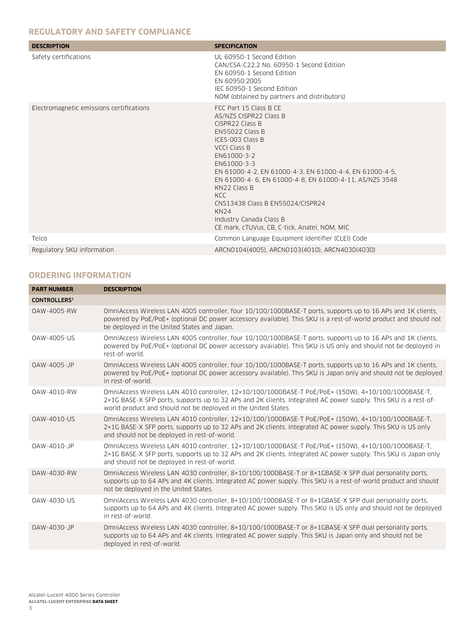## **REGULATORY AND SAFETY COMPLIANCE**

| <b>DESCRIPTION</b>                       | <b>SPECIFICATION</b>                                                                                                                                                                                                                                                                                                                                                                                                                               |
|------------------------------------------|----------------------------------------------------------------------------------------------------------------------------------------------------------------------------------------------------------------------------------------------------------------------------------------------------------------------------------------------------------------------------------------------------------------------------------------------------|
| Safety certifications                    | UL 60950-1 Second Edition<br>CAN/CSA-C22.2 No. 60950-1 Second Edition<br>EN 60950-1 Second Edition<br>EN 60950:2005<br>IEC 60950-1 Second Edition<br>NOM (obtained by partners and distributors)                                                                                                                                                                                                                                                   |
| Electromagnetic emissions certifications | FCC Part 15 Class B CE<br>AS/NZS CISPR22 Class B<br>CISPR22 Class B<br><b>EN55022 Class B</b><br>ICES-003 Class B<br><b>VCCI Class B</b><br>EN61000-3-2<br>EN61000-3-3<br>EN 61000-4-2, EN 61000-4-3, EN 61000-4-4, EN 61000-4-5,<br>EN 61000-4-6, EN 61000-4-8, EN 61000-4-11, AS/NZS 3548<br>KN22 Class B<br>KCC.<br>CNS13438 Class B EN55024/CISPR24<br><b>KN24</b><br>Industry Canada Class B<br>CE mark, cTUVus, CB, C-tick, Anatel, NOM, MIC |
| Telco                                    | Common Language Equipment Identifier (CLEI) Code                                                                                                                                                                                                                                                                                                                                                                                                   |
| Regulatory SKU information               | ARCN0104(4005), ARCN0103(4010), ARCN4030(4030)                                                                                                                                                                                                                                                                                                                                                                                                     |

#### **ORDERING INFORMATION**

| <b>PART NUMBER</b>  | <b>DESCRIPTION</b>                                                                                                                                                                                                                                                                       |
|---------------------|------------------------------------------------------------------------------------------------------------------------------------------------------------------------------------------------------------------------------------------------------------------------------------------|
| <b>CONTROLLERS1</b> |                                                                                                                                                                                                                                                                                          |
| 0AW-4005-RW         | OmniAccess Wireless LAN 4005 controller, four 10/100/1000BASE-T ports, supports up to 16 APs and 1K clients,<br>powered by PoE/PoE+ (optional DC power accessory available). This SKU is a rest-of-world product and should not<br>be deployed in the United States and Japan.           |
| OAW-4005-US         | OmniAccess Wireless LAN 4005 controller, four 10/100/1000BASE-T ports, supports up to 16 APs and 1K clients,<br>powered by PoE/PoE+ (optional DC power accessory available). This SKU is US only and should not be deployed in<br>rest-of-world.                                         |
| OAW-4005-JP         | OmniAccess Wireless LAN 4005 controller, four 10/100/1000BASE-T ports, supports up to 16 APs and 1K clients,<br>powered by PoE/PoE+ (optional DC power accessory available). This SKU is Japan only and should not be deployed<br>in rest-of-world.                                      |
| 0AW-4010-RW         | OmniAccess Wireless LAN 4010 controller, 12×10/100/1000BASE-T PoE/PoE+ (150W), 4×10/100/1000BASE-T,<br>2×1G BASE-X SFP ports, supports up to 32 APs and 2K clients. Integrated AC power supply. This SKU is a rest-of-<br>world product and should not be deployed in the United States. |
| <b>OAW-4010-US</b>  | OmniAccess Wireless LAN 4010 controller, 12×10/100/1000BASE-T PoE/PoE+ (150W), 4×10/100/1000BASE-T,<br>2×1G BASE-X SFP ports, supports up to 32 APs and 2K clients. Integrated AC power supply. This SKU is US only<br>and should not be deployed in rest-of-world.                      |
| 0AW-4010-JP         | OmniAccess Wireless LAN 4010 controller, 12×10/100/1000BASE-T PoE/PoE+ (150W), 4×10/100/1000BASE-T,<br>2×1G BASE-X SFP ports, supports up to 32 APs and 2K clients. Integrated AC power supply. This SKU is Japan only<br>and should not be deployed in rest-of-world.                   |
| 0AW-4030-RW         | OmniAccess Wireless LAN 4030 controller, 8×10/100/1000BASE-T or 8×1GBASE-X SFP dual personality ports,<br>supports up to 64 APs and 4K clients. Integrated AC power supply. This SKU is a rest-of-world product and should<br>not be deployed in the United States.                      |
| OAW-4030-US         | OmniAccess Wireless LAN 4030 controller, 8×10/100/1000BASE-T or 8×1GBASE-X SFP dual personality ports,<br>supports up to 64 APs and 4K clients. Integrated AC power supply. This SKU is US only and should not be deployed<br>in rest-of-world.                                          |
| OAW-4030-JP         | OmniAccess Wireless LAN 4030 controller, 8×10/100/1000BASE-T or 8×1GBASE-X SFP dual personality ports,<br>supports up to 64 APs and 4K clients. Integrated AC power supply. This SKU is Japan only and should not be<br>deployed in rest-of-world.                                       |